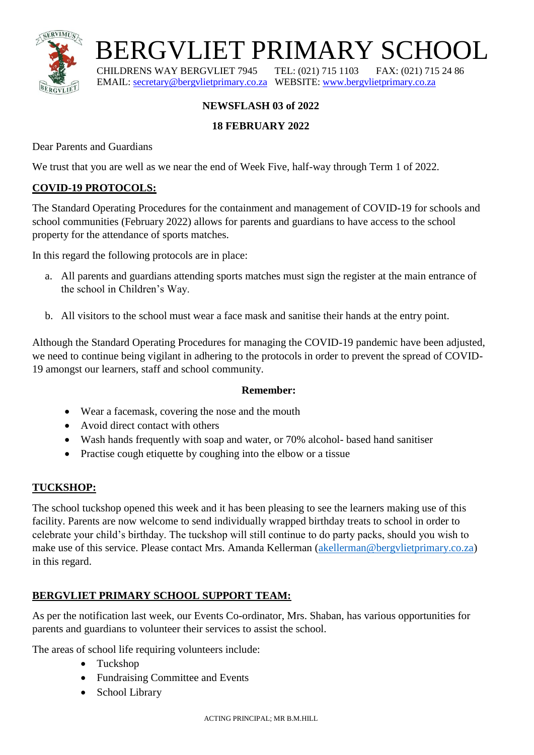

 $\text{BERGVLIET PRIMARY SCHOOL}$ CHLORENS WAY BERGVLIET 7945 TEL: (021) 715 1103 FAX: (021) 715 24 86

CHILDRENS WAY BERGVLIET 7945 TEL: (021) 715 1103 EMAIL: [secretary@bergvlietprimary.co.za](mailto:secretary@bergvlietprimary.co.za) WEBSITE[: www.bergvlietprimary.co.za](http://www.bergvlietprimary.co.za/)

# **NEWSFLASH 03 of 2022**

# **18 FEBRUARY 2022**

Dear Parents and Guardians

We trust that you are well as we near the end of Week Five, half-way through Term 1 of 2022.

## **COVID-19 PROTOCOLS:**

The Standard Operating Procedures for the containment and management of COVID-19 for schools and school communities (February 2022) allows for parents and guardians to have access to the school property for the attendance of sports matches.

In this regard the following protocols are in place:

- a. All parents and guardians attending sports matches must sign the register at the main entrance of the school in Children's Way.
- b. All visitors to the school must wear a face mask and sanitise their hands at the entry point.

Although the Standard Operating Procedures for managing the COVID-19 pandemic have been adjusted, we need to continue being vigilant in adhering to the protocols in order to prevent the spread of COVID-19 amongst our learners, staff and school community.

#### **Remember:**

- Wear a facemask, covering the nose and the mouth
- Avoid direct contact with others
- Wash hands frequently with soap and water, or 70% alcohol- based hand sanitiser
- Practise cough etiquette by coughing into the elbow or a tissue

#### **TUCKSHOP:**

The school tuckshop opened this week and it has been pleasing to see the learners making use of this facility. Parents are now welcome to send individually wrapped birthday treats to school in order to celebrate your child's birthday. The tuckshop will still continue to do party packs, should you wish to make use of this service. Please contact Mrs. Amanda Kellerman [\(akellerman@bergvlietprimary.co.za\)](mailto:akellerman@bergvlietprimary.co.za) in this regard.

#### **BERGVLIET PRIMARY SCHOOL SUPPORT TEAM:**

As per the notification last week, our Events Co-ordinator, Mrs. Shaban, has various opportunities for parents and guardians to volunteer their services to assist the school.

The areas of school life requiring volunteers include:

- Tuckshop
- Fundraising Committee and Events
- School Library